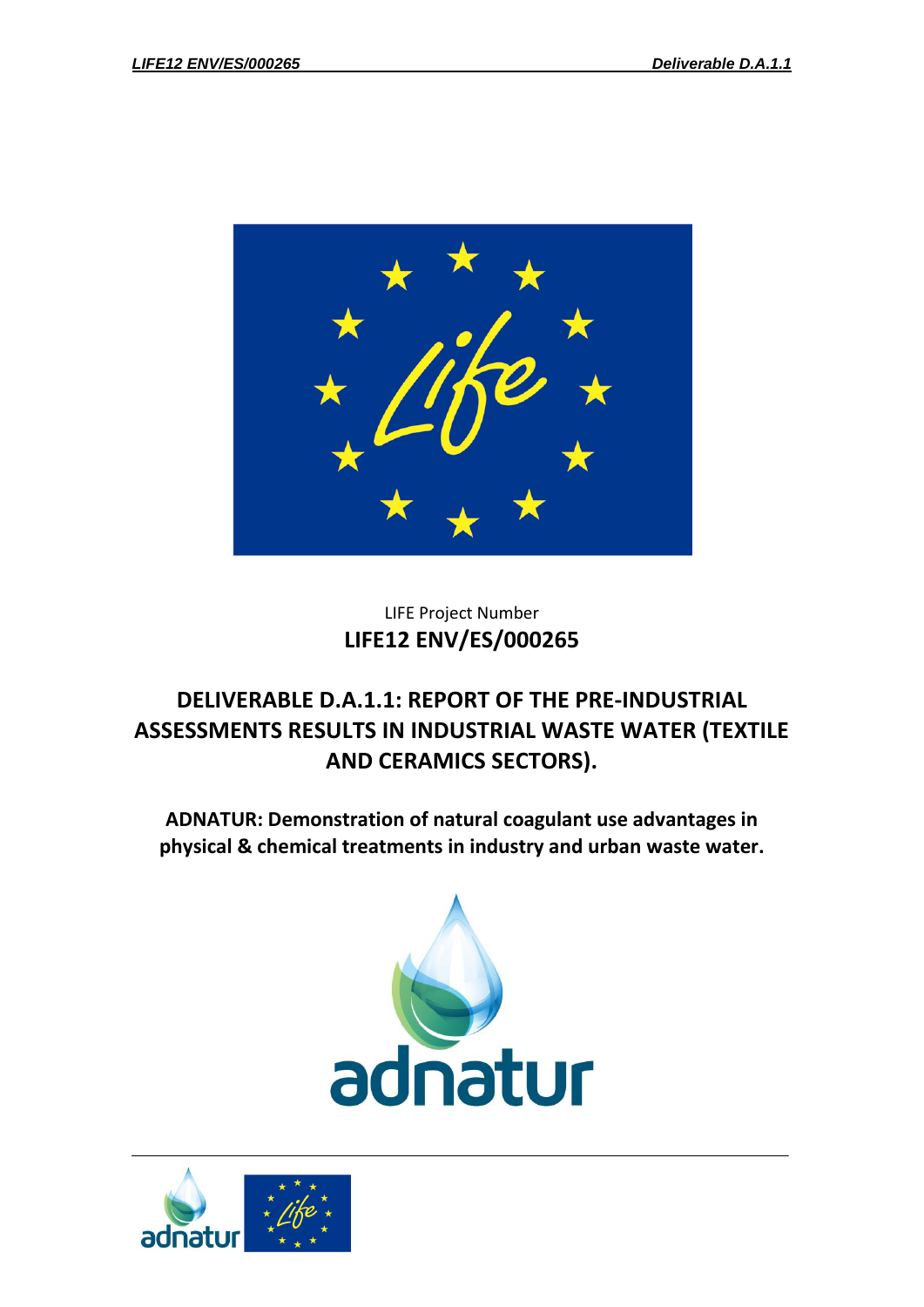

## LIFE Project Number **LIFE12 ENV/ES/000265**

# **DELIVERABLE D.A.1.1: REPORT OF THE PRE-INDUSTRIAL ASSESSMENTS RESULTS IN INDUSTRIAL WASTE WATER (TEXTILE AND CERAMICS SECTORS).**

**ADNATUR: Demonstration of natural coagulant use advantages in physical & chemical treatments in industry and urban waste water.**



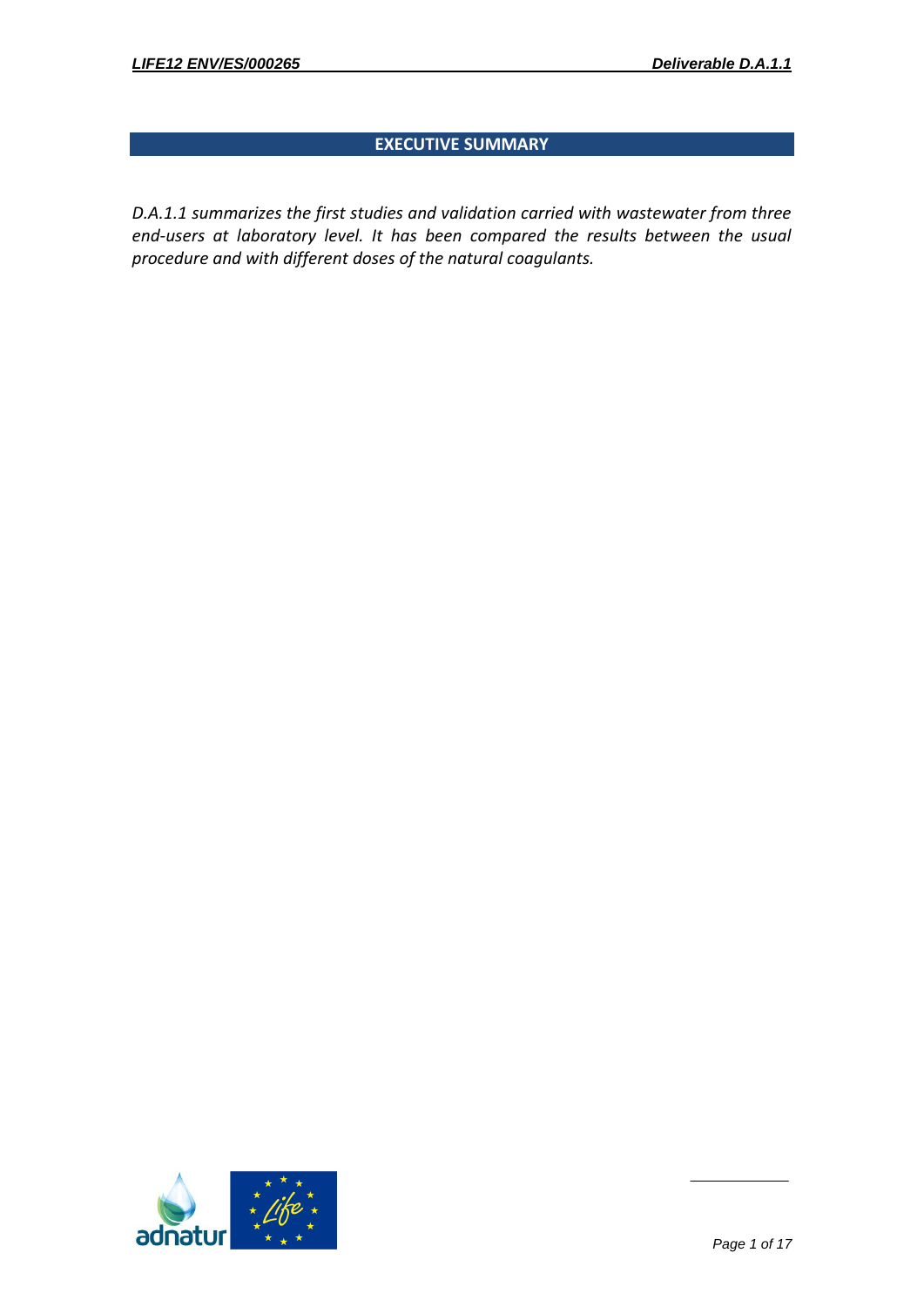### **EXECUTIVE SUMMARY**

*D.A.1.1 summarizes the first studies and validation carried with wastewater from three end-users at laboratory level. It has been compared the results between the usual procedure and with different doses of the natural coagulants.* 

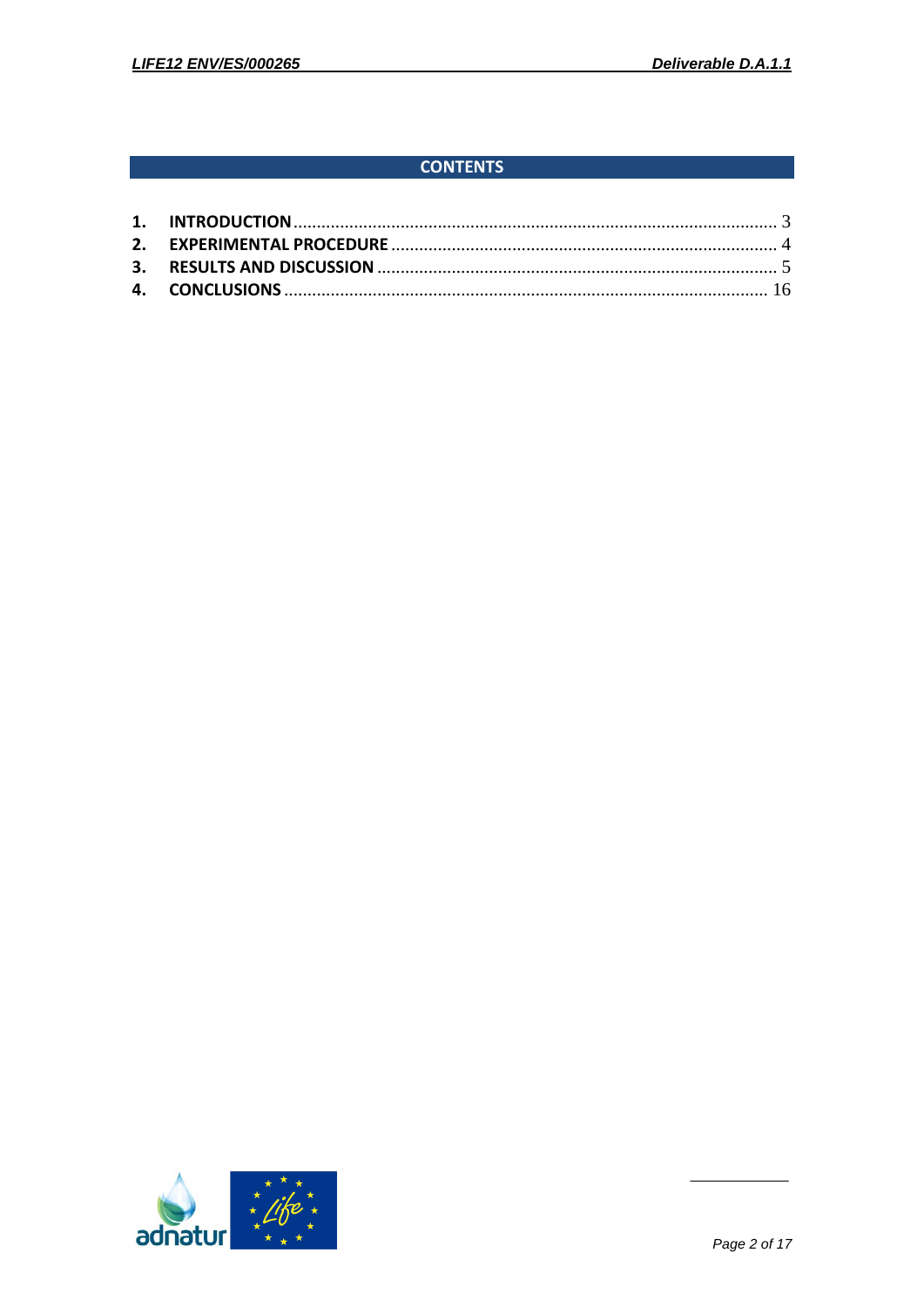## **CONTENTS**

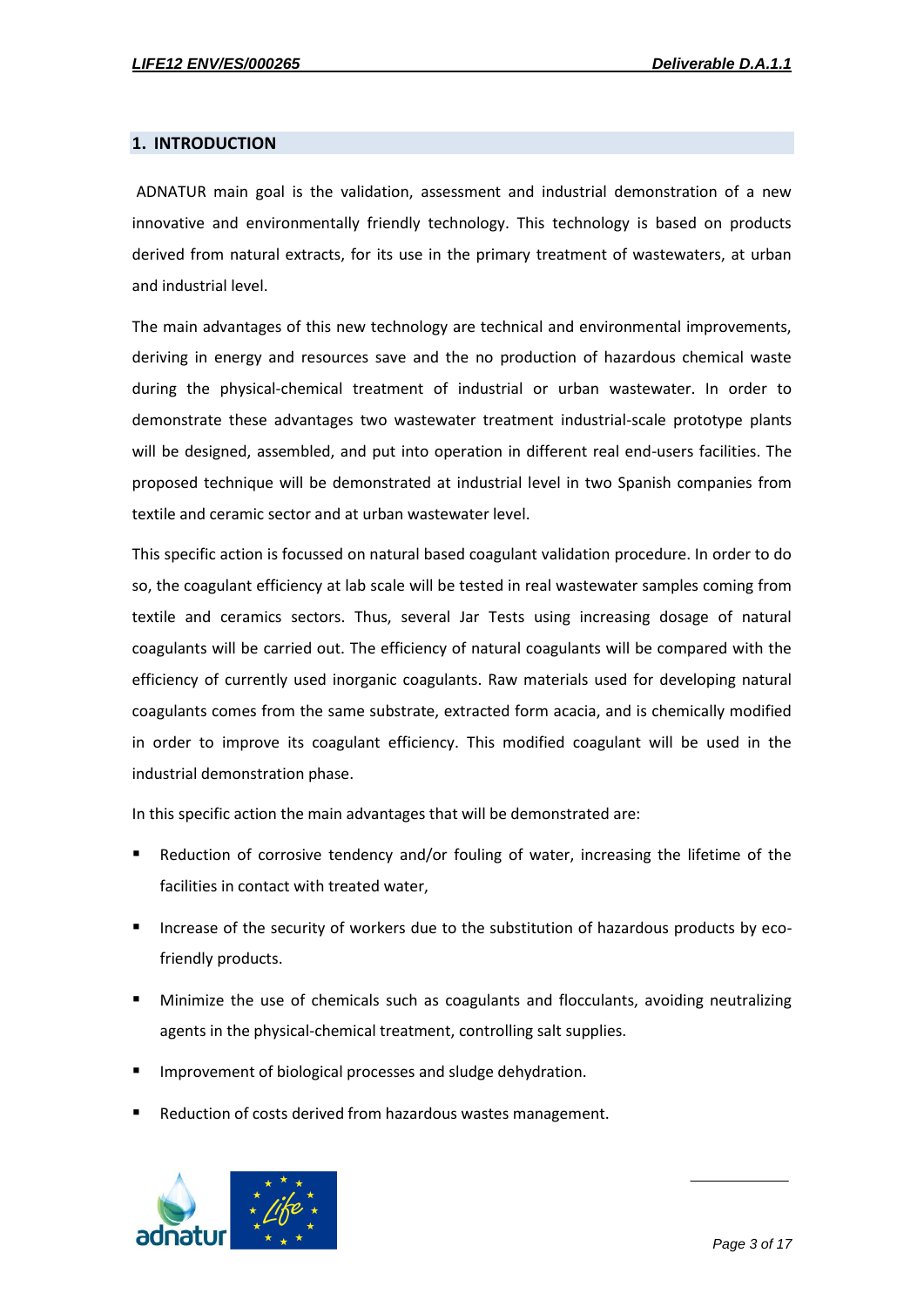#### <span id="page-3-0"></span>**1. INTRODUCTION**

ADNATUR main goal is the validation, assessment and industrial demonstration of a new innovative and environmentally friendly technology. This technology is based on products derived from natural extracts, for its use in the primary treatment of wastewaters, at urban and industrial level.

The main advantages of this new technology are technical and environmental improvements, deriving in energy and resources save and the no production of hazardous chemical waste during the physical-chemical treatment of industrial or urban wastewater. In order to demonstrate these advantages two wastewater treatment industrial-scale prototype plants will be designed, assembled, and put into operation in different real end-users facilities. The proposed technique will be demonstrated at industrial level in two Spanish companies from textile and ceramic sector and at urban wastewater level.

This specific action is focussed on natural based coagulant validation procedure. In order to do so, the coagulant efficiency at lab scale will be tested in real wastewater samples coming from textile and ceramics sectors. Thus, several Jar Tests using increasing dosage of natural coagulants will be carried out. The efficiency of natural coagulants will be compared with the efficiency of currently used inorganic coagulants. Raw materials used for developing natural coagulants comes from the same substrate, extracted form acacia, and is chemically modified in order to improve its coagulant efficiency. This modified coagulant will be used in the industrial demonstration phase.

In this specific action the main advantages that will be demonstrated are:

- Reduction of corrosive tendency and/or fouling of water, increasing the lifetime of the facilities in contact with treated water,
- Increase of the security of workers due to the substitution of hazardous products by ecofriendly products.
- Minimize the use of chemicals such as coagulants and flocculants, avoiding neutralizing agents in the physical-chemical treatment, controlling salt supplies.
- Improvement of biological processes and sludge dehydration.
- Reduction of costs derived from hazardous wastes management.

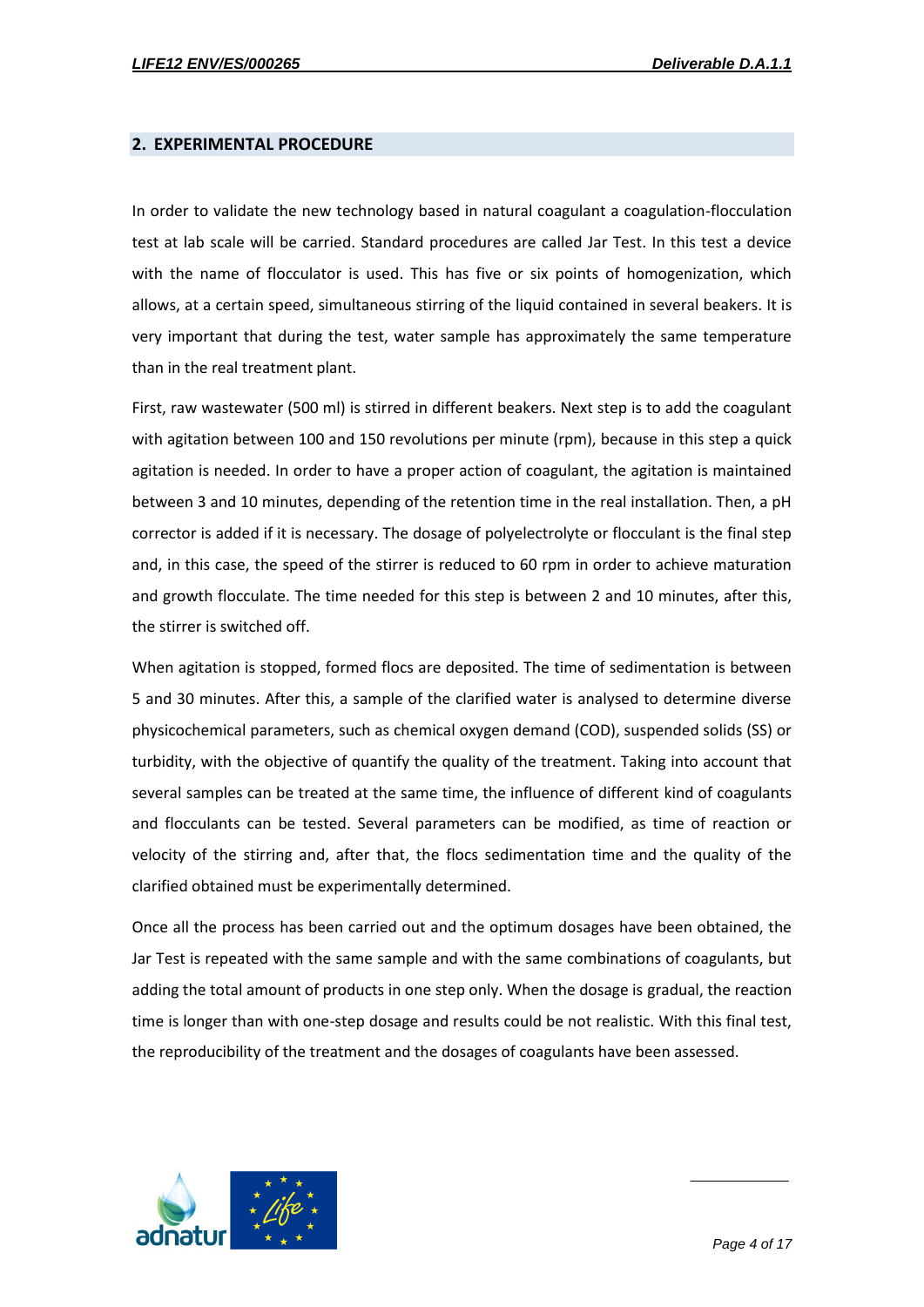#### <span id="page-4-0"></span>**2. EXPERIMENTAL PROCEDURE**

In order to validate the new technology based in natural coagulant a coagulation-flocculation test at lab scale will be carried. Standard procedures are called Jar Test. In this test a device with the name of flocculator is used. This has five or six points of homogenization, which allows, at a certain speed, simultaneous stirring of the liquid contained in several beakers. It is very important that during the test, water sample has approximately the same temperature than in the real treatment plant.

First, raw wastewater (500 ml) is stirred in different beakers. Next step is to add the coagulant with agitation between 100 and 150 revolutions per minute (rpm), because in this step a quick agitation is needed. In order to have a proper action of coagulant, the agitation is maintained between 3 and 10 minutes, depending of the retention time in the real installation. Then, a pH corrector is added if it is necessary. The dosage of polyelectrolyte or flocculant is the final step and, in this case, the speed of the stirrer is reduced to 60 rpm in order to achieve maturation and growth flocculate. The time needed for this step is between 2 and 10 minutes, after this, the stirrer is switched off.

When agitation is stopped, formed flocs are deposited. The time of sedimentation is between 5 and 30 minutes. After this, a sample of the clarified water is analysed to determine diverse physicochemical parameters, such as chemical oxygen demand (COD), suspended solids (SS) or turbidity, with the objective of quantify the quality of the treatment. Taking into account that several samples can be treated at the same time, the influence of different kind of coagulants and flocculants can be tested. Several parameters can be modified, as time of reaction or velocity of the stirring and, after that, the flocs sedimentation time and the quality of the clarified obtained must be experimentally determined.

Once all the process has been carried out and the optimum dosages have been obtained, the Jar Test is repeated with the same sample and with the same combinations of coagulants, but adding the total amount of products in one step only. When the dosage is gradual, the reaction time is longer than with one-step dosage and results could be not realistic. With this final test, the reproducibility of the treatment and the dosages of coagulants have been assessed.

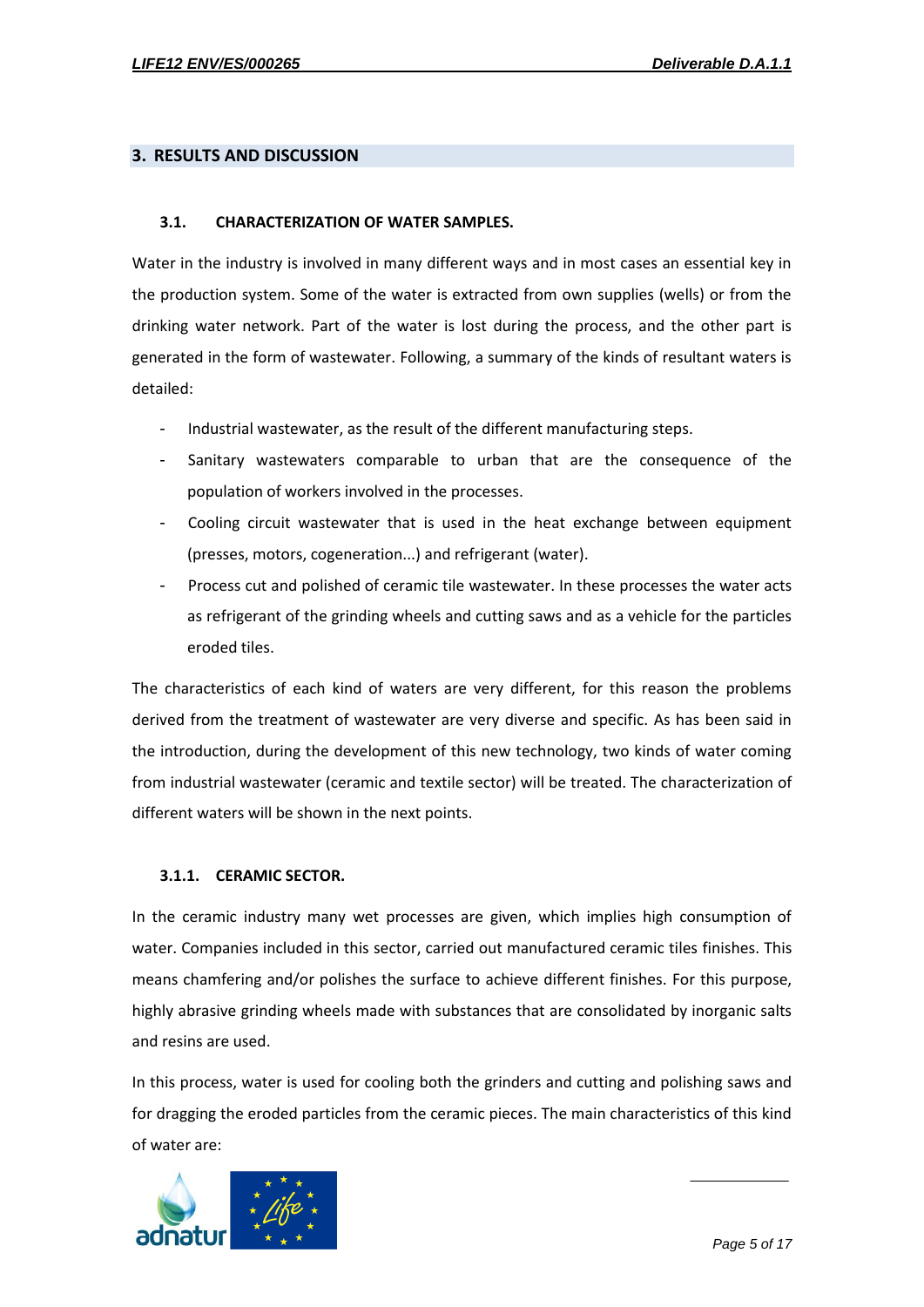#### <span id="page-5-0"></span>**3. RESULTS AND DISCUSSION**

#### **3.1. CHARACTERIZATION OF WATER SAMPLES.**

Water in the industry is involved in many different ways and in most cases an essential key in the production system. Some of the water is extracted from own supplies (wells) or from the drinking water network. Part of the water is lost during the process, and the other part is generated in the form of wastewater. Following, a summary of the kinds of resultant waters is detailed:

- Industrial wastewater, as the result of the different manufacturing steps.
- Sanitary wastewaters comparable to urban that are the consequence of the population of workers involved in the processes.
- Cooling circuit wastewater that is used in the heat exchange between equipment (presses, motors, cogeneration...) and refrigerant (water).
- Process cut and polished of ceramic tile wastewater. In these processes the water acts as refrigerant of the grinding wheels and cutting saws and as a vehicle for the particles eroded tiles.

The characteristics of each kind of waters are very different, for this reason the problems derived from the treatment of wastewater are very diverse and specific. As has been said in the introduction, during the development of this new technology, two kinds of water coming from industrial wastewater (ceramic and textile sector) will be treated. The characterization of different waters will be shown in the next points.

#### **3.1.1. CERAMIC SECTOR.**

In the ceramic industry many wet processes are given, which implies high consumption of water. Companies included in this sector, carried out manufactured ceramic tiles finishes. This means chamfering and/or polishes the surface to achieve different finishes. For this purpose, highly abrasive grinding wheels made with substances that are consolidated by inorganic salts and resins are used.

In this process, water is used for cooling both the grinders and cutting and polishing saws and for dragging the eroded particles from the ceramic pieces. The main characteristics of this kind of water are:

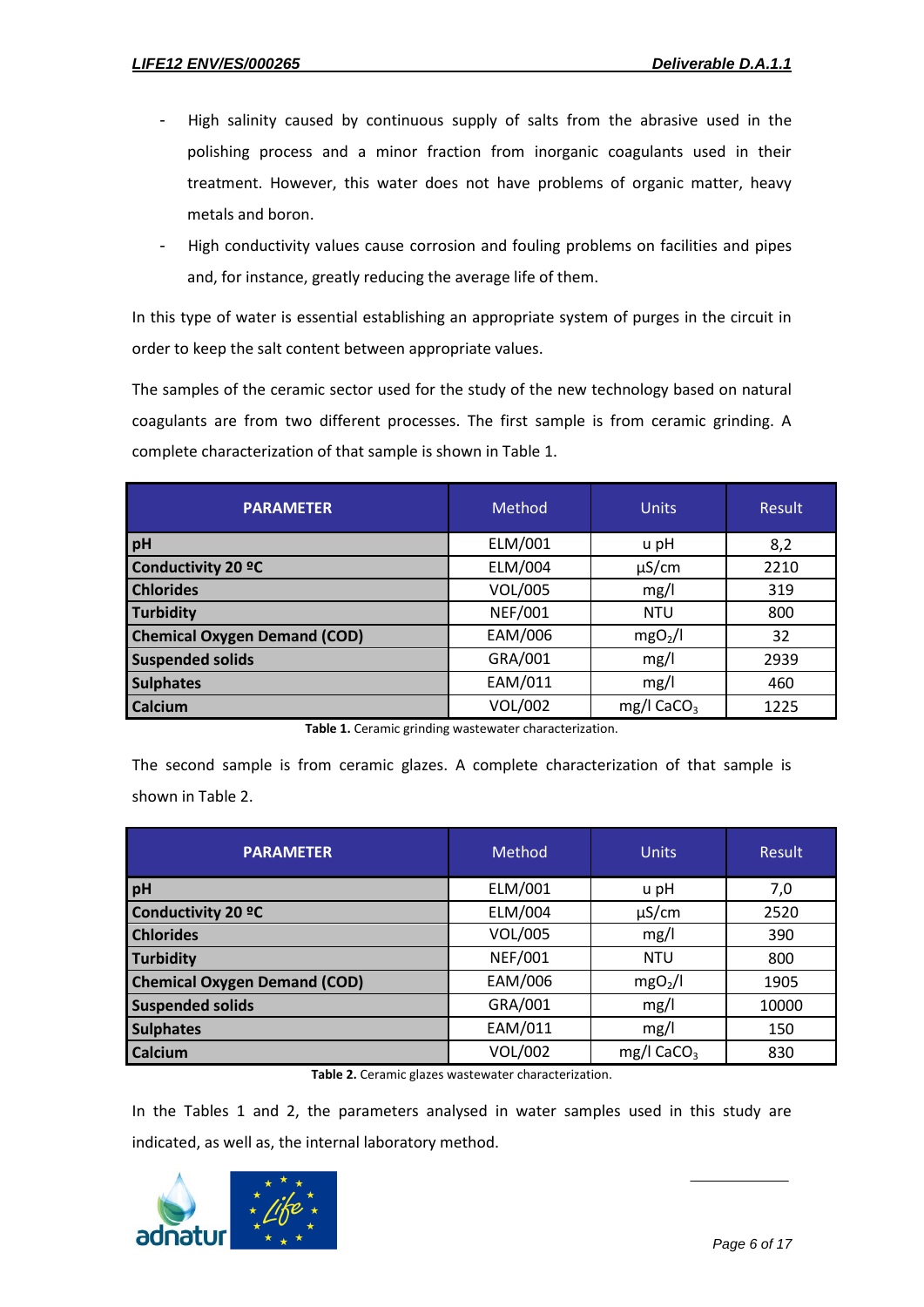- High salinity caused by continuous supply of salts from the abrasive used in the polishing process and a minor fraction from inorganic coagulants used in their treatment. However, this water does not have problems of organic matter, heavy metals and boron.
- High conductivity values cause corrosion and fouling problems on facilities and pipes and, for instance, greatly reducing the average life of them.

In this type of water is essential establishing an appropriate system of purges in the circuit in order to keep the salt content between appropriate values.

The samples of the ceramic sector used for the study of the new technology based on natural coagulants are from two different processes. The first sample is from ceramic grinding. A complete characterization of that sample is shown in Table 1.

| <b>PARAMETER</b>                    | Method         | <b>Units</b>             | <b>Result</b> |
|-------------------------------------|----------------|--------------------------|---------------|
| <b>pH</b>                           | ELM/001        | u pH                     | 8,2           |
| Conductivity 20 °C                  | ELM/004        | $\mu$ S/cm               | 2210          |
| <b>Chlorides</b>                    | VOL/005        | mg/l                     | 319           |
| Turbidity                           | <b>NEF/001</b> | <b>NTU</b>               | 800           |
| <b>Chemical Oxygen Demand (COD)</b> | EAM/006        | mgO <sub>2</sub> /I      | 32            |
| <b>Suspended solids</b>             | GRA/001        | mg/l                     | 2939          |
| <b>Sulphates</b>                    | EAM/011        | mg/l                     | 460           |
| <b>Calcium</b>                      | <b>VOL/002</b> | $mg/1$ CaCO <sub>3</sub> | 1225          |

**Table 1.** Ceramic grinding wastewater characterization.

The second sample is from ceramic glazes. A complete characterization of that sample is shown in Table 2.

| <b>PARAMETER</b>                    | Method         | <b>Units</b>           | Result |
|-------------------------------------|----------------|------------------------|--------|
| <b>pH</b>                           | ELM/001        | u pH                   | 7,0    |
| Conductivity 20 °C                  | ELM/004        | $\mu$ S/cm             | 2520   |
| <b>Chlorides</b>                    | VOL/005        | mg/l                   | 390    |
| Turbidity                           | <b>NEF/001</b> | <b>NTU</b>             | 800    |
| <b>Chemical Oxygen Demand (COD)</b> | EAM/006        | mgO <sub>2</sub> /I    | 1905   |
| <b>Suspended solids</b>             | GRA/001        | mg/l                   | 10000  |
| <b>Sulphates</b>                    | EAM/011        | mg/l                   | 150    |
| <b>Calcium</b>                      | VOL/002        | mg/l CaCO <sub>3</sub> | 830    |

**Table 2.** Ceramic glazes wastewater characterization.

In the Tables 1 and 2, the parameters analysed in water samples used in this study are indicated, as well as, the internal laboratory method.

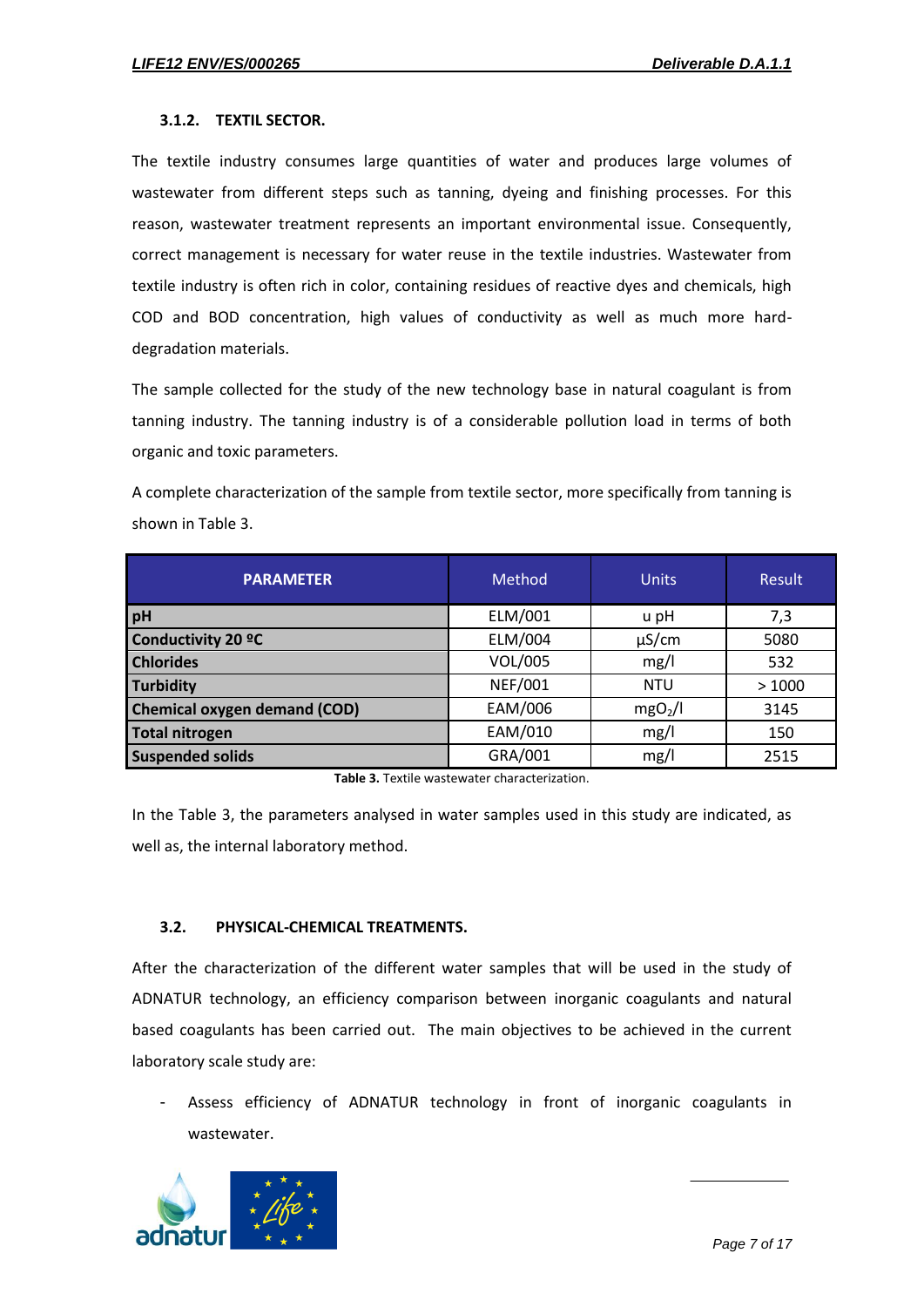#### **3.1.2. TEXTIL SECTOR.**

The textile industry consumes large quantities of water and produces large volumes of wastewater from different steps such as tanning, dyeing and finishing processes. For this reason, wastewater treatment represents an important environmental issue. Consequently, correct management is necessary for water reuse in the textile industries. Wastewater from textile industry is often rich in color, containing residues of reactive dyes and chemicals, high COD and BOD concentration, high values of conductivity as well as much more harddegradation materials.

The sample collected for the study of the new technology base in natural coagulant is from tanning industry. The tanning industry is of a considerable pollution load in terms of both organic and toxic parameters.

A complete characterization of the sample from textile sector, more specifically from tanning is shown in Table 3.

| <b>PARAMETER</b>                    | Method         | <b>Units</b>        | Result |
|-------------------------------------|----------------|---------------------|--------|
| pH                                  | ELM/001        | u pH                | 7,3    |
| Conductivity 20 °C                  | ELM/004        | $\mu$ S/cm          | 5080   |
| <b>Chlorides</b>                    | VOL/005        | mg/l                | 532    |
| Turbidity                           | <b>NEF/001</b> | <b>NTU</b>          | >1000  |
| <b>Chemical oxygen demand (COD)</b> | EAM/006        | mgO <sub>2</sub> /I | 3145   |
| <b>Total nitrogen</b>               | EAM/010        | mg/l                | 150    |
| <b>Suspended solids</b>             | GRA/001        | mg/l                | 2515   |

**Table 3.** Textile wastewater characterization.

In the Table 3, the parameters analysed in water samples used in this study are indicated, as well as, the internal laboratory method.

#### **3.2. PHYSICAL-CHEMICAL TREATMENTS.**

After the characterization of the different water samples that will be used in the study of ADNATUR technology, an efficiency comparison between inorganic coagulants and natural based coagulants has been carried out. The main objectives to be achieved in the current laboratory scale study are:

Assess efficiency of ADNATUR technology in front of inorganic coagulants in wastewater.

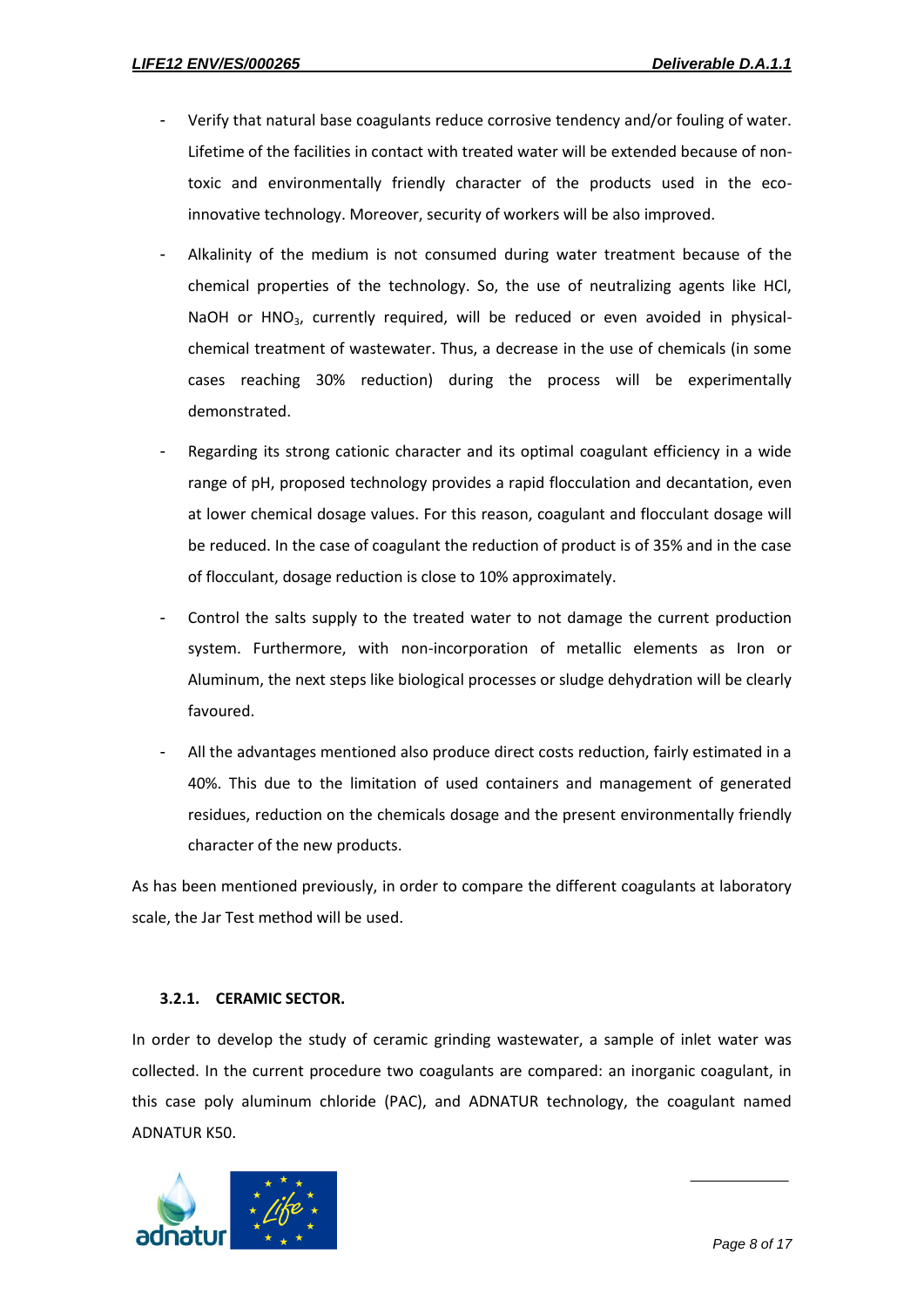- Verify that natural base coagulants reduce corrosive tendency and/or fouling of water. Lifetime of the facilities in contact with treated water will be extended because of nontoxic and environmentally friendly character of the products used in the ecoinnovative technology. Moreover, security of workers will be also improved.
- Alkalinity of the medium is not consumed during water treatment because of the chemical properties of the technology. So, the use of neutralizing agents like HCl, NaOH or HNO<sub>3</sub>, currently required, will be reduced or even avoided in physicalchemical treatment of wastewater. Thus, a decrease in the use of chemicals (in some cases reaching 30% reduction) during the process will be experimentally demonstrated.
- Regarding its strong cationic character and its optimal coagulant efficiency in a wide range of pH, proposed technology provides a rapid flocculation and decantation, even at lower chemical dosage values. For this reason, coagulant and flocculant dosage will be reduced. In the case of coagulant the reduction of product is of 35% and in the case of flocculant, dosage reduction is close to 10% approximately.
- Control the salts supply to the treated water to not damage the current production system. Furthermore, with non-incorporation of metallic elements as Iron or Aluminum, the next steps like biological processes or sludge dehydration will be clearly favoured.
- All the advantages mentioned also produce direct costs reduction, fairly estimated in a 40%. This due to the limitation of used containers and management of generated residues, reduction on the chemicals dosage and the present environmentally friendly character of the new products.

As has been mentioned previously, in order to compare the different coagulants at laboratory scale, the Jar Test method will be used.

#### **3.2.1. CERAMIC SECTOR.**

In order to develop the study of ceramic grinding wastewater, a sample of inlet water was collected. In the current procedure two coagulants are compared: an inorganic coagulant, in this case poly aluminum chloride (PAC), and ADNATUR technology, the coagulant named ADNATUR K50.

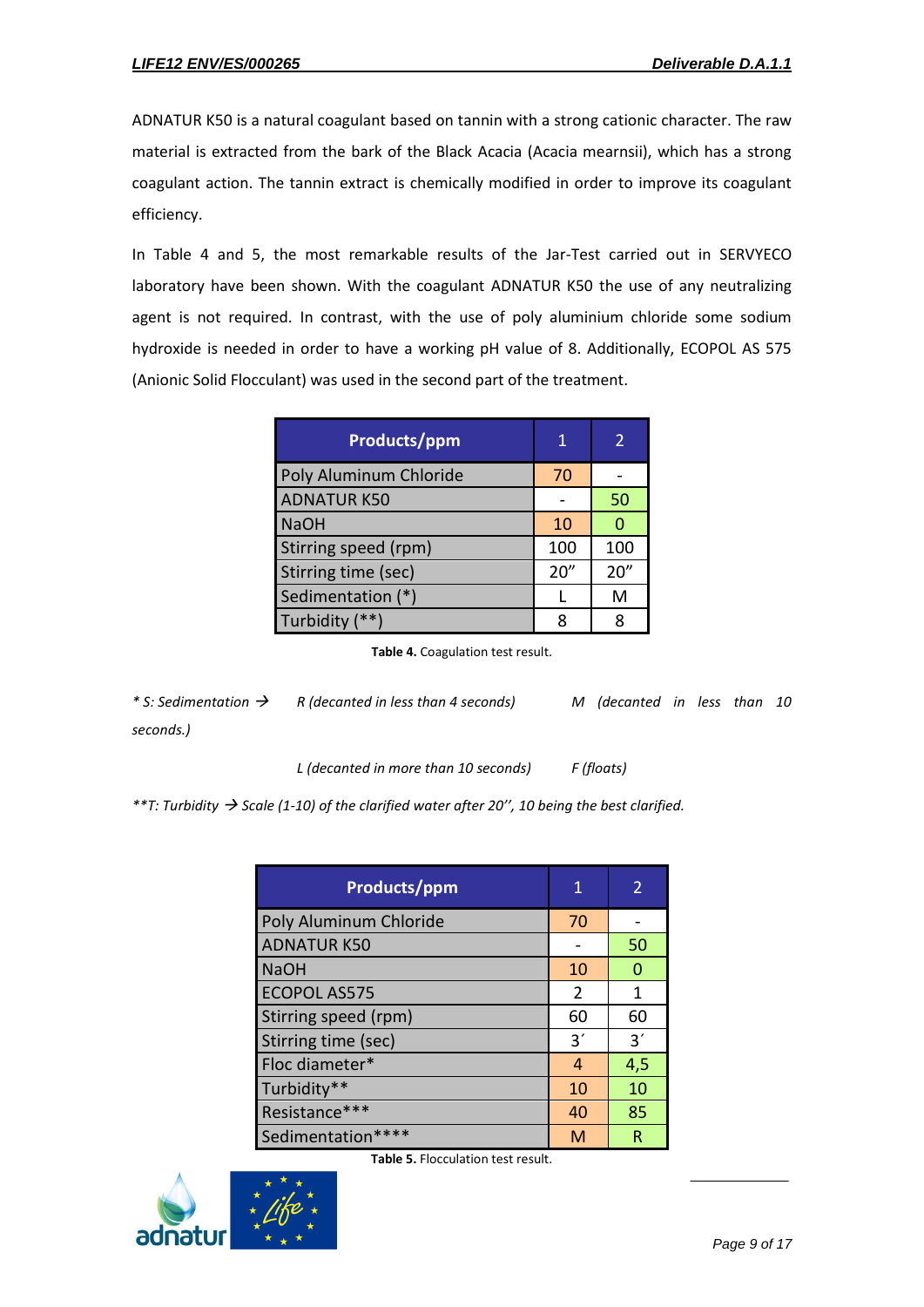ADNATUR K50 is a natural coagulant based on tannin with a strong cationic character. The raw material is extracted from the bark of the Black Acacia (Acacia mearnsii), which has a strong coagulant action. The tannin extract is chemically modified in order to improve its coagulant efficiency.

In Table 4 and 5, the most remarkable results of the Jar-Test carried out in SERVYECO laboratory have been shown. With the coagulant ADNATUR K50 the use of any neutralizing agent is not required. In contrast, with the use of poly aluminium chloride some sodium hydroxide is needed in order to have a working pH value of 8. Additionally, ECOPOL AS 575 (Anionic Solid Flocculant) was used in the second part of the treatment.

| <b>Products/ppm</b>    | 1    |      |
|------------------------|------|------|
| Poly Aluminum Chloride | 70   |      |
| <b>ADNATUR K50</b>     |      | 50   |
| <b>NaOH</b>            | 10   |      |
| Stirring speed (rpm)   | 100  | 100  |
| Stirring time (sec)    | 20'' | 20'' |
| Sedimentation (*)      |      | м    |
| Turbidity (**)         |      |      |

**Table 4.** Coagulation test result.

*\* S: Sedimentation R (decanted in less than 4 seconds) M (decanted in less than 10 seconds.)*

*L (decanted in more than 10 seconds) F (floats)*

*\*\*T: Turbidity Scale (1-10) of the clarified water after 20'', 10 being the best clarified.*

| <b>Products/ppm</b>    | 1  | 2   |
|------------------------|----|-----|
| Poly Aluminum Chloride | 70 |     |
| <b>ADNATUR K50</b>     |    | 50  |
| <b>NaOH</b>            | 10 | n   |
| <b>ECOPOL AS575</b>    | 2  | 1   |
| Stirring speed (rpm)   | 60 | 60  |
| Stirring time (sec)    | 3' | 3'  |
| Floc diameter*         | 4  | 4,5 |
| Turbidity**            | 10 | 10  |
| Resistance***          | 40 | 85  |
| Sedimentation****      | M  | R   |

**Table 5.** Flocculation test result.

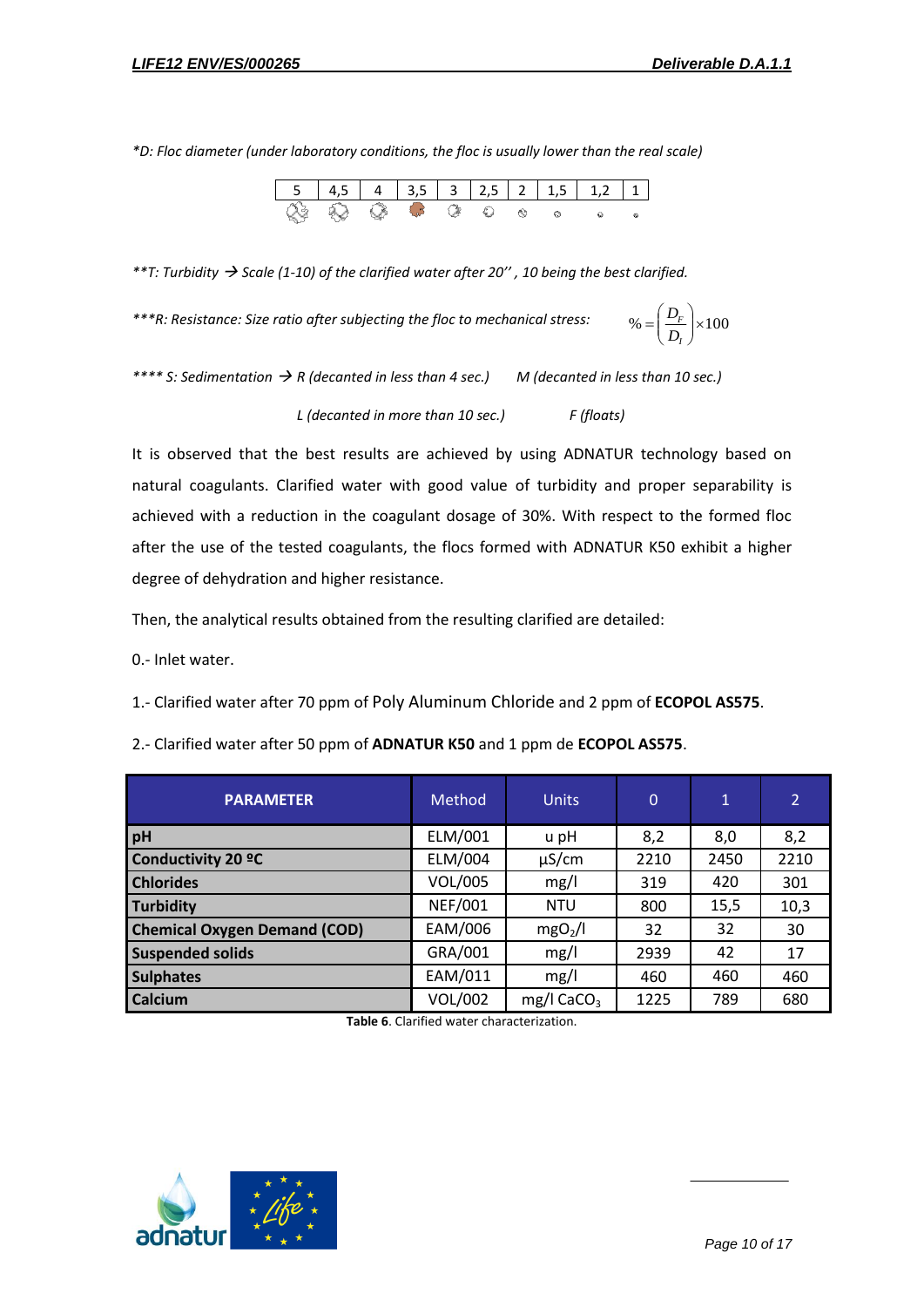*\*D: Floc diameter (under laboratory conditions, the floc is usually lower than the real scale)*

| ୍ବ ଓ | $\alpha$ and $\alpha$ and $\alpha$ and $\alpha$ and $\alpha$ |  |  |  |  |
|------|--------------------------------------------------------------|--|--|--|--|

*\*\*T: Turbidity Scale (1-10) of the clarified water after 20'' , 10 being the best clarified.*

*\*\*\*R: Resistance: Size ratio after subjecting the floc to mechanical stress:*

 $\% = \left| \frac{D_F}{D} \right| \times 100$ Ј  $\backslash$  $\overline{\phantom{a}}$  $\overline{\mathcal{L}}$  $=\bigg($ *I F D D*

*\*\*\*\* S: Sedimentation R (decanted in less than 4 sec.) M (decanted in less than 10 sec.) L (decanted in more than 10 sec.) F (floats)*

It is observed that the best results are achieved by using ADNATUR technology based on natural coagulants. Clarified water with good value of turbidity and proper separability is achieved with a reduction in the coagulant dosage of 30%. With respect to the formed floc after the use of the tested coagulants, the flocs formed with ADNATUR K50 exhibit a higher degree of dehydration and higher resistance.

Then, the analytical results obtained from the resulting clarified are detailed:

0.- Inlet water.

1.- Clarified water after 70 ppm of Poly Aluminum Chloride and 2 ppm of **ECOPOL AS575**.

| <b>PARAMETER</b>                    | Method         | <b>Units</b>             | $\Omega$ | 1    | $\mathbf{2}$ |
|-------------------------------------|----------------|--------------------------|----------|------|--------------|
| pH                                  | ELM/001        | u pH                     | 8,2      | 8,0  | 8,2          |
| Conductivity 20 °C                  | ELM/004        | $\mu$ S/cm               | 2210     | 2450 | 2210         |
| <b>Chlorides</b>                    | VOL/005        | mg/l                     | 319      | 420  | 301          |
| <b>Turbidity</b>                    | <b>NEF/001</b> | <b>NTU</b>               | 800      | 15,5 | 10,3         |
| <b>Chemical Oxygen Demand (COD)</b> | EAM/006        | mgO <sub>2</sub> /I      | 32       | 32   | 30           |
| <b>Suspended solids</b>             | GRA/001        | mg/l                     | 2939     | 42   | 17           |
| <b>Sulphates</b>                    | EAM/011        | mg/l                     | 460      | 460  | 460          |
| Calcium                             | <b>VOL/002</b> | $mg/l$ CaCO <sub>3</sub> | 1225     | 789  | 680          |

2.- Clarified water after 50 ppm of **ADNATUR K50** and 1 ppm de **ECOPOL AS575**.

**Table 6**. Clarified water characterization.

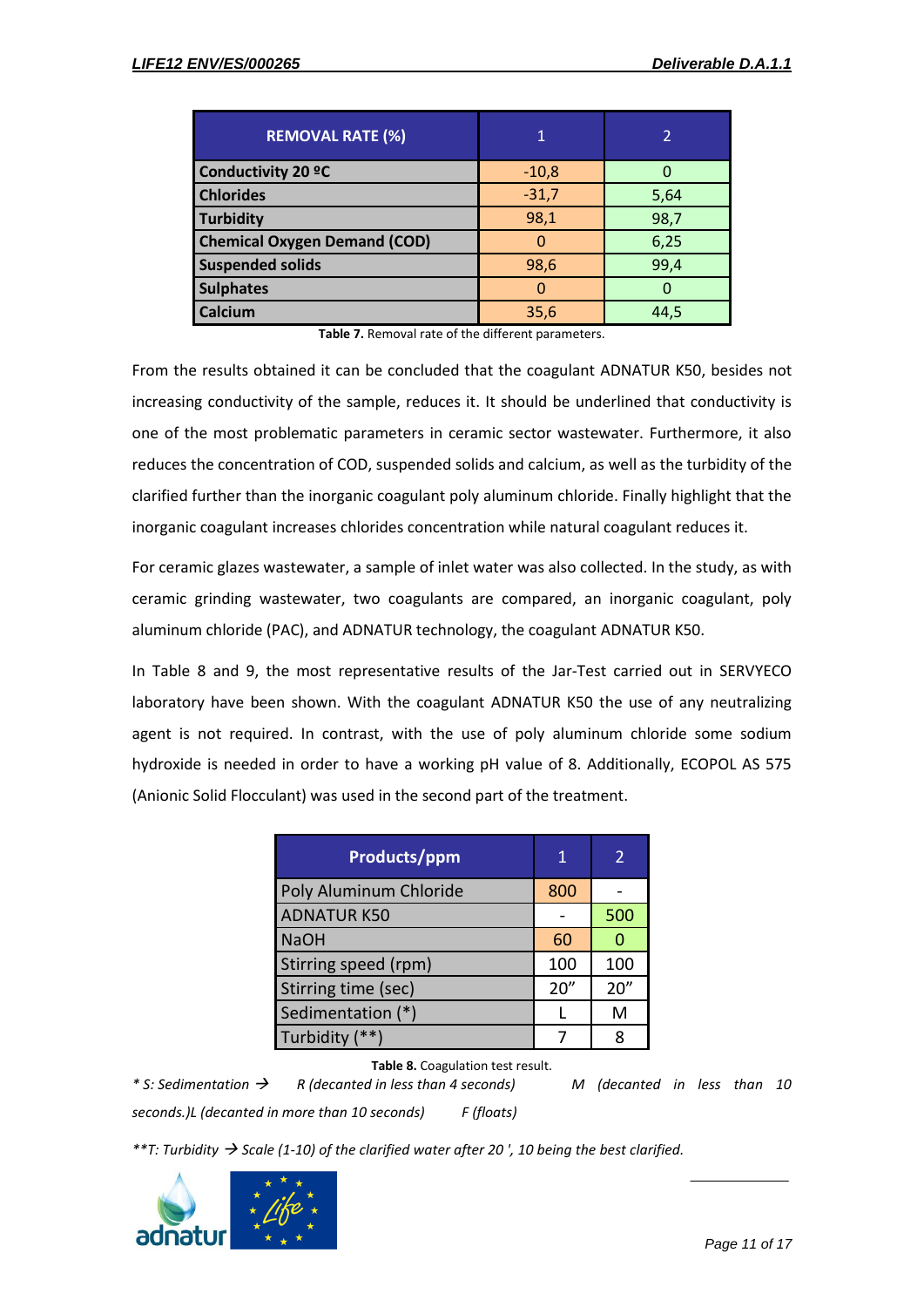| <b>REMOVAL RATE (%)</b>             | 1       | 2        |
|-------------------------------------|---------|----------|
| <b>Conductivity 20 °C</b>           | $-10,8$ | $\Omega$ |
| <b>Chlorides</b>                    | $-31,7$ | 5,64     |
| Turbidity                           | 98,1    | 98,7     |
| <b>Chemical Oxygen Demand (COD)</b> |         | 6,25     |
| <b>Suspended solids</b>             | 98,6    | 99,4     |
| <b>Sulphates</b>                    |         | O        |
| <b>Calcium</b>                      | 35,6    | 44,5     |

**Table 7.** Removal rate of the different parameters.

From the results obtained it can be concluded that the coagulant ADNATUR K50, besides not increasing conductivity of the sample, reduces it. It should be underlined that conductivity is one of the most problematic parameters in ceramic sector wastewater. Furthermore, it also reduces the concentration of COD, suspended solids and calcium, as well as the turbidity of the clarified further than the inorganic coagulant poly aluminum chloride. Finally highlight that the inorganic coagulant increases chlorides concentration while natural coagulant reduces it.

For ceramic glazes wastewater, a sample of inlet water was also collected. In the study, as with ceramic grinding wastewater, two coagulants are compared, an inorganic coagulant, poly aluminum chloride (PAC), and ADNATUR technology, the coagulant ADNATUR K50.

In Table 8 and 9, the most representative results of the Jar-Test carried out in SERVYECO laboratory have been shown. With the coagulant ADNATUR K50 the use of any neutralizing agent is not required. In contrast, with the use of poly aluminum chloride some sodium hydroxide is needed in order to have a working pH value of 8. Additionally, ECOPOL AS 575 (Anionic Solid Flocculant) was used in the second part of the treatment.

| <b>Products/ppm</b>    |      | 2    |
|------------------------|------|------|
| Poly Aluminum Chloride | 800  |      |
| <b>ADNATUR K50</b>     |      | 500  |
| <b>NaOH</b>            | 60   |      |
| Stirring speed (rpm)   | 100  | 100  |
| Stirring time (sec)    | 20'' | 20'' |
| Sedimentation (*)      |      | M    |
| Turbidity (**)         |      | R    |

**Table 8.** Coagulation test result.

*\* S: Sedimentation R (decanted in less than 4 seconds) M (decanted in less than 10 seconds.)L (decanted in more than 10 seconds) F (floats)*

*\*\*T: Turbidity Scale (1-10) of the clarified water after 20 ', 10 being the best clarified.*

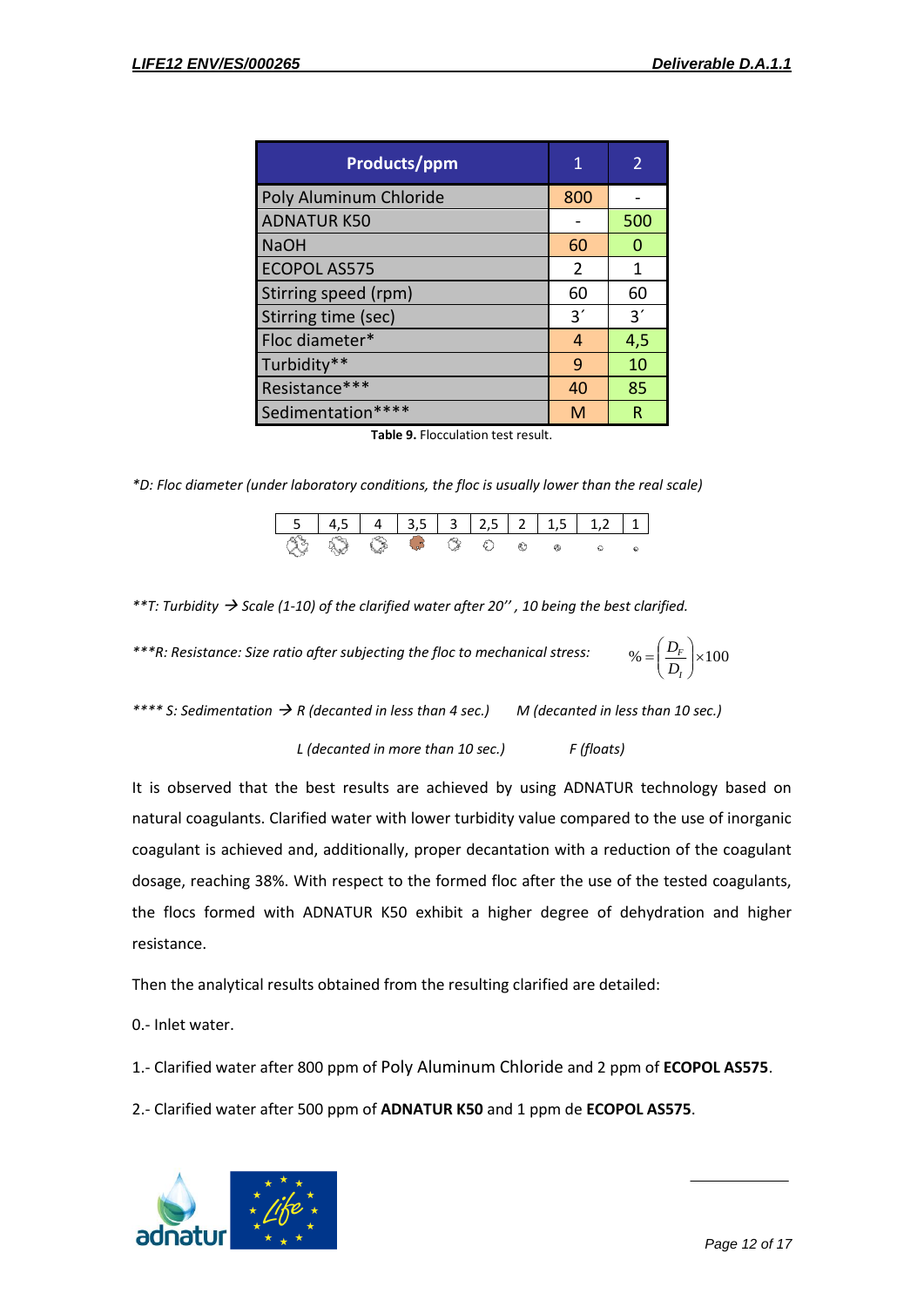| <b>Products/ppm</b>    | 1   | 2   |
|------------------------|-----|-----|
| Poly Aluminum Chloride | 800 |     |
| <b>ADNATUR K50</b>     |     | 500 |
| <b>NaOH</b>            | 60  | Ω   |
| <b>ECOPOL AS575</b>    | 2   | 1   |
| Stirring speed (rpm)   | 60  | 60  |
| Stirring time (sec)    | 3'  | 3'  |
| Floc diameter*         | 4   | 4,5 |
| Turbidity**            | 9   | 10  |
| Resistance***          | 40  | 85  |
| Sedimentation****      | м   | R   |

**Table 9.** Flocculation test result.

*\*D: Floc diameter (under laboratory conditions, the floc is usually lower than the real scale)*

| 43 63 63 62 63 |  |  |  |  |
|----------------|--|--|--|--|

*\*\*T: Turbidity Scale (1-10) of the clarified water after 20'' , 10 being the best clarified.*

*\*\*\*R: Resistance: Size ratio after subjecting the floc to mechanical stress:*  $\% = \left| \frac{D_F}{D} \right| \times 100$ Ј  $\backslash$  $\overline{\phantom{a}}$  $\overline{\mathcal{L}}$  $=\bigg($ *I F D D*

*\*\*\*\* S: Sedimentation R (decanted in less than 4 sec.) M (decanted in less than 10 sec.)*

*L (decanted in more than 10 sec.) F (floats)*

It is observed that the best results are achieved by using ADNATUR technology based on natural coagulants. Clarified water with lower turbidity value compared to the use of inorganic coagulant is achieved and, additionally, proper decantation with a reduction of the coagulant dosage, reaching 38%. With respect to the formed floc after the use of the tested coagulants, the flocs formed with ADNATUR K50 exhibit a higher degree of dehydration and higher resistance.

Then the analytical results obtained from the resulting clarified are detailed:

0.- Inlet water.

1.- Clarified water after 800 ppm of Poly Aluminum Chloride and 2 ppm of **ECOPOL AS575**.

2.- Clarified water after 500 ppm of **ADNATUR K50** and 1 ppm de **ECOPOL AS575**.

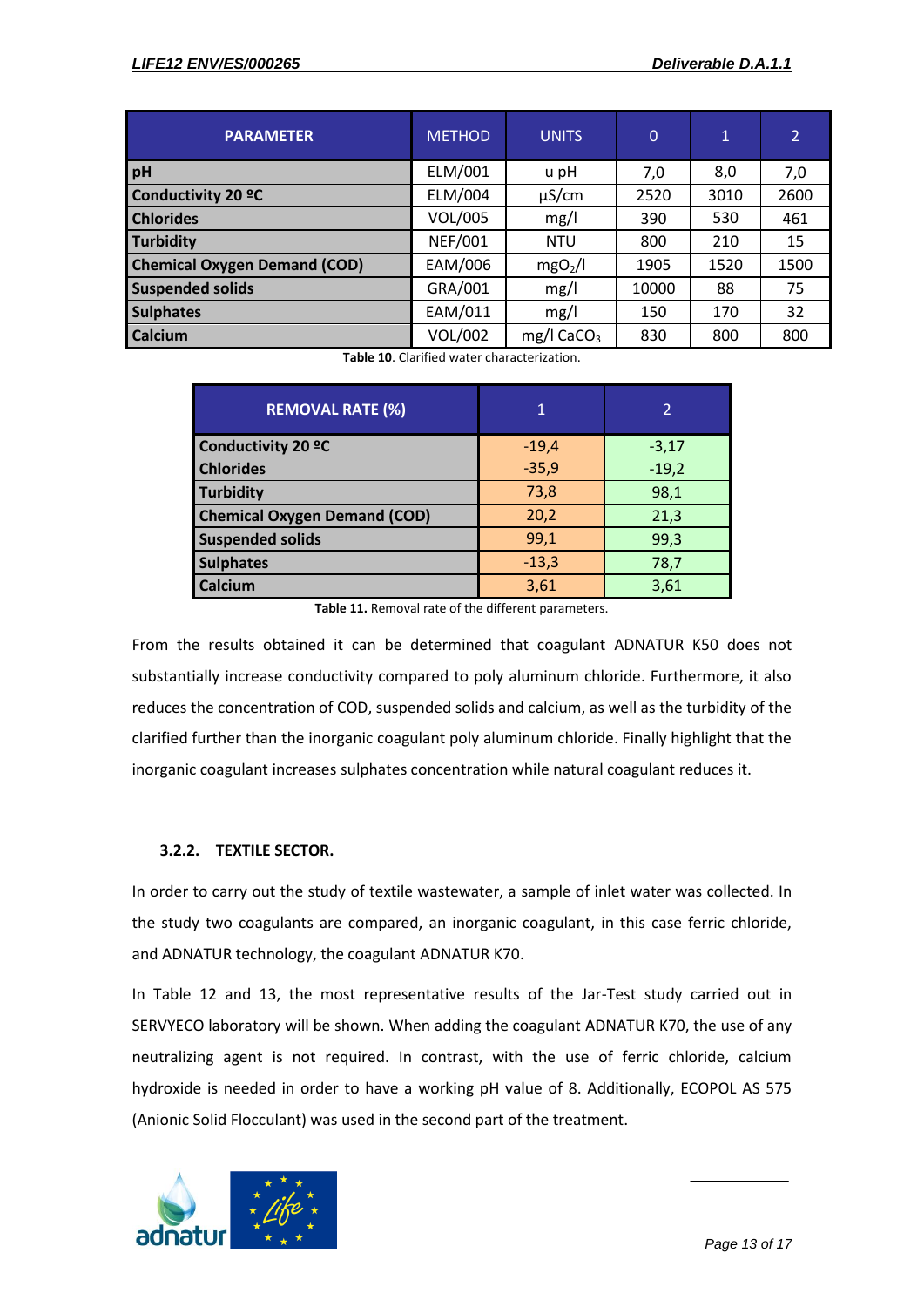| <b>PARAMETER</b>                    | <b>METHOD</b>  | <b>UNITS</b>        | $\mathbf 0$ | $\mathbf{1}$ | $\overline{2}$ |
|-------------------------------------|----------------|---------------------|-------------|--------------|----------------|
| pH                                  | ELM/001        | u pH                | 7,0         | 8,0          | 7,0            |
| Conductivity 20 °C                  | ELM/004        | $\mu$ S/cm          | 2520        | 3010         | 2600           |
| <b>Chlorides</b>                    | VOL/005        | mg/l                | 390         | 530          | 461            |
| Turbidity                           | <b>NEF/001</b> | <b>NTU</b>          | 800         | 210          | 15             |
| <b>Chemical Oxygen Demand (COD)</b> | EAM/006        | mgO <sub>2</sub> /I | 1905        | 1520         | 1500           |
| <b>Suspended solids</b>             | GRA/001        | mg/l                | 10000       | 88           | 75             |
| <b>Sulphates</b>                    | EAM/011        | mg/l                | 150         | 170          | 32             |
| <b>Calcium</b>                      | <b>VOL/002</b> | mg/l $CaCO3$        | 830         | 800          | 800            |

**Table 10**. Clarified water characterization.

| <b>REMOVAL RATE (%)</b>             | 1       |         |
|-------------------------------------|---------|---------|
| <b>Conductivity 20 °C</b>           | $-19,4$ | $-3,17$ |
| <b>Chlorides</b>                    | $-35,9$ | $-19,2$ |
| <b>Turbidity</b>                    | 73,8    | 98,1    |
| <b>Chemical Oxygen Demand (COD)</b> | 20,2    | 21,3    |
| <b>Suspended solids</b>             | 99,1    | 99,3    |
| <b>Sulphates</b>                    | $-13,3$ | 78,7    |
| Calcium                             | 3,61    | 3,61    |

**Table 11.** Removal rate of the different parameters.

From the results obtained it can be determined that coagulant ADNATUR K50 does not substantially increase conductivity compared to poly aluminum chloride. Furthermore, it also reduces the concentration of COD, suspended solids and calcium, as well as the turbidity of the clarified further than the inorganic coagulant poly aluminum chloride. Finally highlight that the inorganic coagulant increases sulphates concentration while natural coagulant reduces it.

#### **3.2.2. TEXTILE SECTOR.**

In order to carry out the study of textile wastewater, a sample of inlet water was collected. In the study two coagulants are compared, an inorganic coagulant, in this case ferric chloride, and ADNATUR technology, the coagulant ADNATUR K70.

In Table 12 and 13, the most representative results of the Jar-Test study carried out in SERVYECO laboratory will be shown. When adding the coagulant ADNATUR K70, the use of any neutralizing agent is not required. In contrast, with the use of ferric chloride, calcium hydroxide is needed in order to have a working pH value of 8. Additionally, ECOPOL AS 575 (Anionic Solid Flocculant) was used in the second part of the treatment.

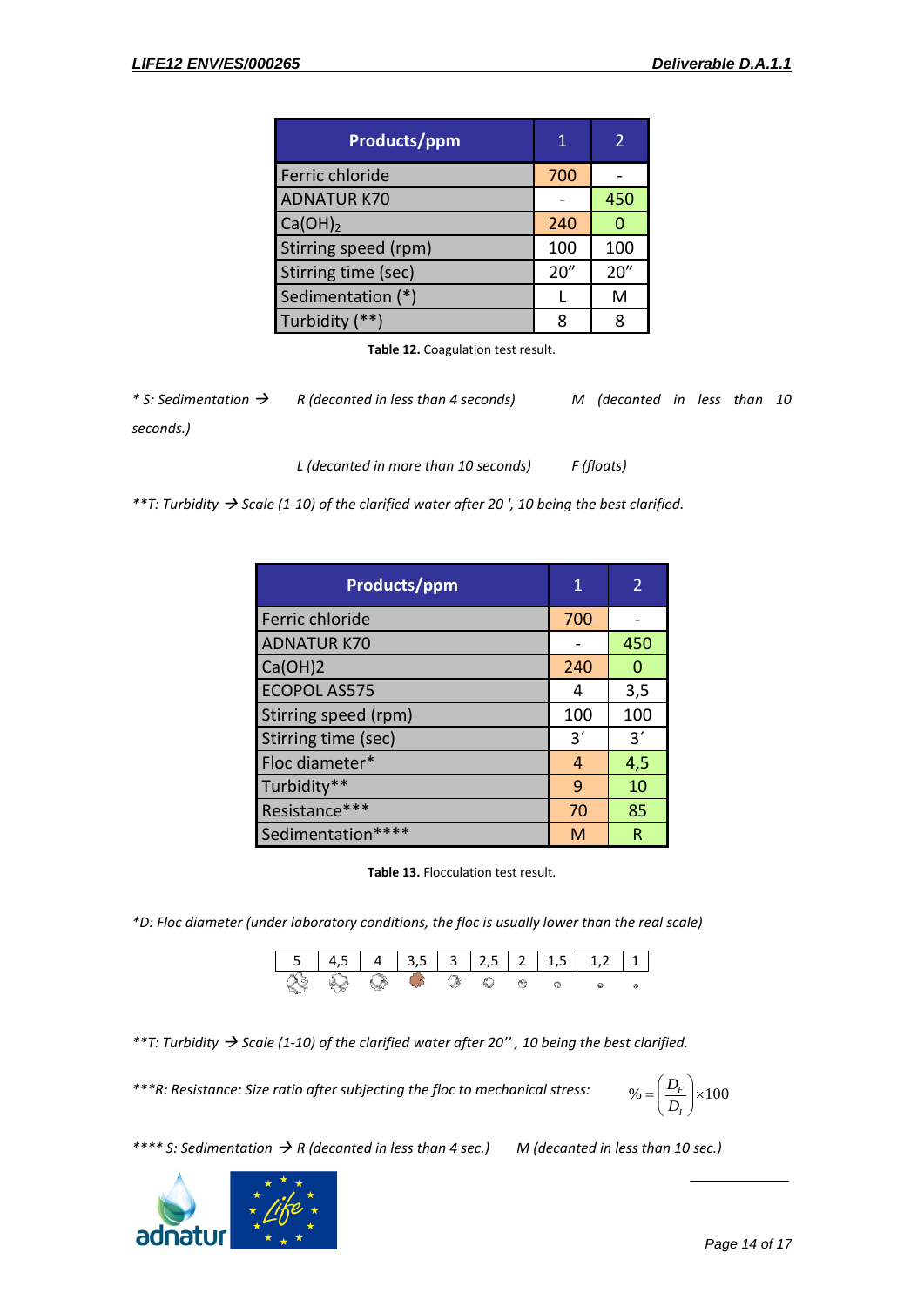| Products/ppm         | 1    | 2    |
|----------------------|------|------|
| Ferric chloride      | 700  |      |
| <b>ADNATUR K70</b>   |      | 450  |
| Ca(OH) <sub>2</sub>  | 240  | 0    |
| Stirring speed (rpm) | 100  | 100  |
| Stirring time (sec)  | 20'' | 20'' |
| Sedimentation (*)    |      | M    |
| Turbidity (**)       |      | 8    |

**Table 12.** Coagulation test result.

*\* S: Sedimentation R (decanted in less than 4 seconds) M (decanted in less than 10 seconds.)*

*L (decanted in more than 10 seconds) F (floats)*

*\*\*T: Turbidity Scale (1-10) of the clarified water after 20 ', 10 being the best clarified.*

| Products/ppm         | 1   |     |
|----------------------|-----|-----|
| Ferric chloride      | 700 |     |
| <b>ADNATUR K70</b>   |     | 450 |
| Ca(OH)2              | 240 | n   |
| <b>ECOPOL AS575</b>  | 4   | 3,5 |
| Stirring speed (rpm) | 100 | 100 |
| Stirring time (sec)  | 3'  | 3'  |
| Floc diameter*       | 4   | 4,5 |
| Turbidity**          | 9   | 10  |
| Resistance***        | 70  | 85  |
| Sedimentation****    | M   | R   |

**Table 13.** Flocculation test result.

*\*D: Floc diameter (under laboratory conditions, the floc is usually lower than the real scale)*



*\*\*T: Turbidity Scale (1-10) of the clarified water after 20'' , 10 being the best clarified.*

*\*\*\*R: Resistance: Size ratio after subjecting the floc to mechanical stress:*

 $\% = \left| \frac{D_F}{D} \right| \times 100$ Ј  $\setminus$  $\overline{\phantom{a}}$  $\overline{\mathcal{L}}$  $=\bigg($ *I F D D*

*\*\*\*\* S: Sedimentation R (decanted in less than 4 sec.) M (decanted in less than 10 sec.)*

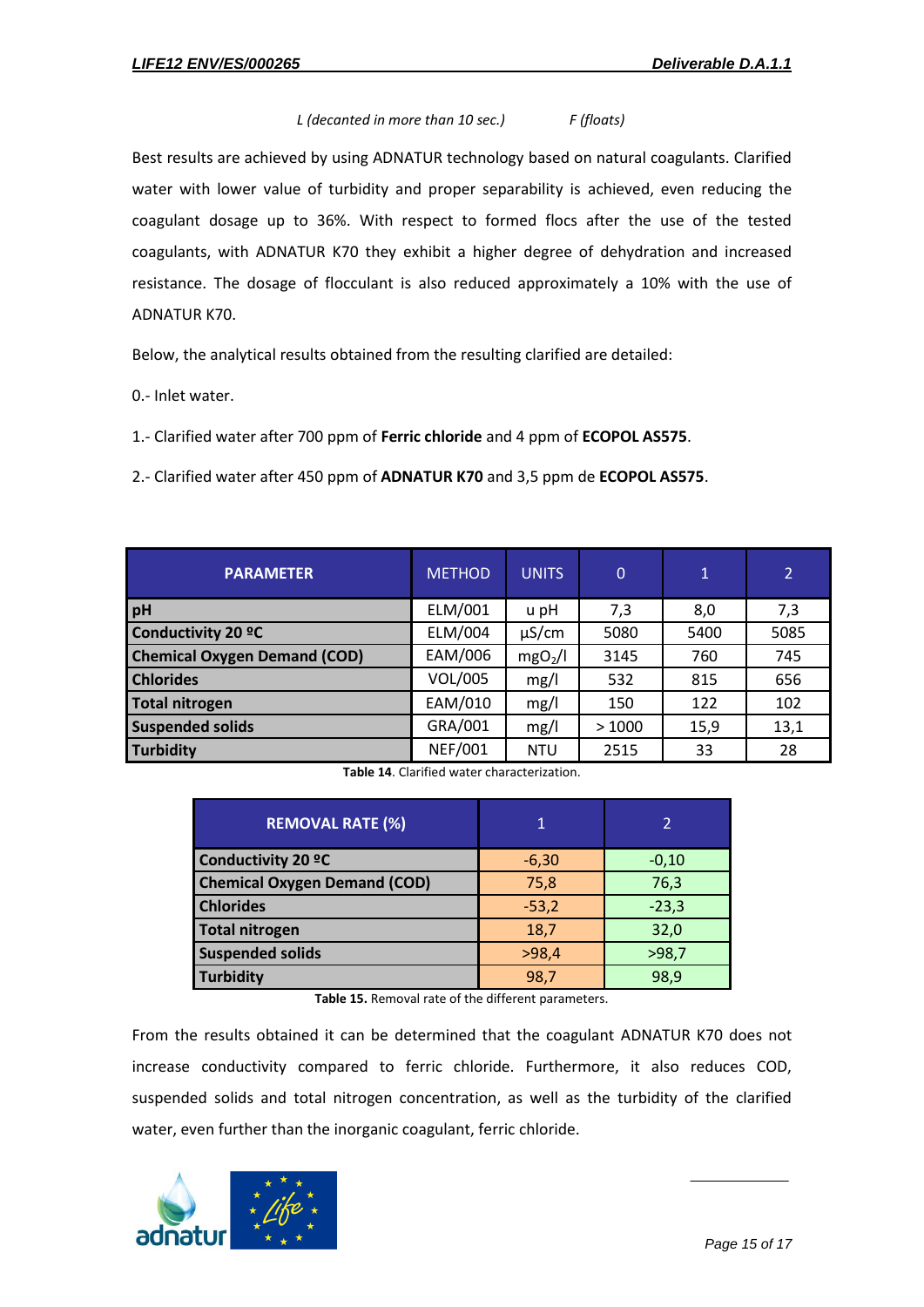#### *L (decanted in more than 10 sec.) F (floats)*

Best results are achieved by using ADNATUR technology based on natural coagulants. Clarified water with lower value of turbidity and proper separability is achieved, even reducing the coagulant dosage up to 36%. With respect to formed flocs after the use of the tested coagulants, with ADNATUR K70 they exhibit a higher degree of dehydration and increased resistance. The dosage of flocculant is also reduced approximately a 10% with the use of ADNATUR K70.

Below, the analytical results obtained from the resulting clarified are detailed:

0.- Inlet water.

1.- Clarified water after 700 ppm of **Ferric chloride** and 4 ppm of **ECOPOL AS575**.

2.- Clarified water after 450 ppm of **ADNATUR K70** and 3,5 ppm de **ECOPOL AS575**.

| <b>PARAMETER</b>                    | <b>METHOD</b>  | <b>UNITS</b>        | $\overline{0}$ | $\mathbf{1}$ | $\overline{2}$ |
|-------------------------------------|----------------|---------------------|----------------|--------------|----------------|
| pH                                  | ELM/001        | u pH                | 7,3            | 8,0          | 7,3            |
| <b>Conductivity 20 °C</b>           | ELM/004        | $\mu$ S/cm          | 5080           | 5400         | 5085           |
| <b>Chemical Oxygen Demand (COD)</b> | EAM/006        | mgO <sub>2</sub> /l | 3145           | 760          | 745            |
| <b>Chlorides</b>                    | VOL/005        | mg/l                | 532            | 815          | 656            |
| <b>Total nitrogen</b>               | EAM/010        | mg/l                | 150            | 122          | 102            |
| <b>Suspended solids</b>             | GRA/001        | mg/l                | >1000          | 15,9         | 13,1           |
| <b>Turbidity</b>                    | <b>NEF/001</b> | <b>NTU</b>          | 2515           | 33           | 28             |

**Table 14**. Clarified water characterization.

| <b>REMOVAL RATE (%)</b>             |         |         |
|-------------------------------------|---------|---------|
| <b>Conductivity 20 °C</b>           | $-6,30$ | $-0,10$ |
| <b>Chemical Oxygen Demand (COD)</b> | 75,8    | 76,3    |
| <b>Chlorides</b>                    | $-53,2$ | $-23,3$ |
| <b>Total nitrogen</b>               | 18,7    | 32,0    |
| <b>Suspended solids</b>             | >98,4   | >98,7   |
| <b>Turbidity</b>                    | 98,7    | 98,9    |

**Table 15.** Removal rate of the different parameters.

From the results obtained it can be determined that the coagulant ADNATUR K70 does not increase conductivity compared to ferric chloride. Furthermore, it also reduces COD, suspended solids and total nitrogen concentration, as well as the turbidity of the clarified water, even further than the inorganic coagulant, ferric chloride.